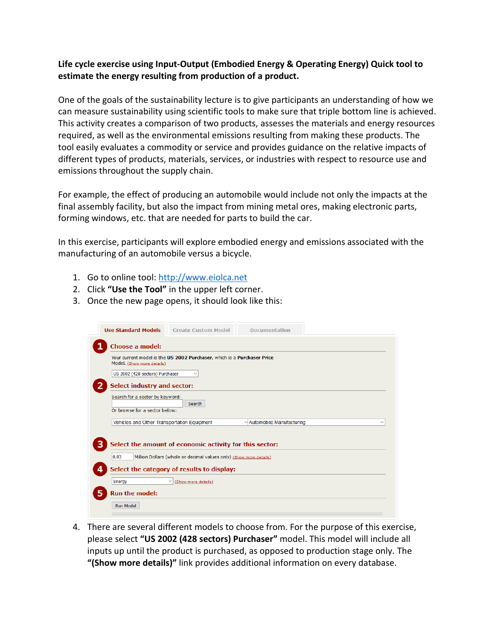## **Life cycle exercise using Input-Output (Embodied Energy & Operating Energy) Quick tool to estimate the energy resulting from production of a product.**

One of the goals of the sustainability lecture is to give participants an understanding of how we can measure sustainability using scientific tools to make sure that triple bottom line is achieved. This activity creates a comparison of two products, assesses the materials and energy resources required, as well as the environmental emissions resulting from making these products. The tool easily evaluates a commodity or service and provides guidance on the relative impacts of different types of products, materials, services, or industries with respect to resource use and emissions throughout the supply chain.

For example, the effect of producing an automobile would include not only the impacts at the final assembly facility, but also the impact from mining metal ores, making electronic parts, forming windows, etc. that are needed for parts to build the car.

In this exercise, participants will explore embodied energy and emissions associated with the manufacturing of an automobile versus a bicycle.

- 1. Go to online tool: [http://www.eiolca.net](http://www.eiolca.net/)
- 2. Click **"Use the Tool"** in the upper left corner.
- 3. Once the new page opens, it should look like this:

| Choose a model:<br>Your current model is the US 2002 Purchaser, which is a Purchaser Price<br>Model. (Show more details)<br>US 2002 (428 sectors) Purchaser<br>$\checkmark$<br><b>Select industry and sector:</b><br>Search for a sector by keyword:<br>Search<br>Or browse for a sector below:<br>Vehicles and Other Transportation Equipment<br>Automobile Manufacturing<br>Select the amount of economic activity for this sector:<br>Million Dollars (whole or decimal values only) (Show more details)<br>0.03<br>Select the category of results to display:<br>4<br>Energy<br>(Show more details)<br>$\checkmark$<br><b>Run the model:</b><br>Run Model | <b>Use Standard Models</b> | <b>Create Custom Model</b> | <b>Documentation</b> |  |
|---------------------------------------------------------------------------------------------------------------------------------------------------------------------------------------------------------------------------------------------------------------------------------------------------------------------------------------------------------------------------------------------------------------------------------------------------------------------------------------------------------------------------------------------------------------------------------------------------------------------------------------------------------------|----------------------------|----------------------------|----------------------|--|
|                                                                                                                                                                                                                                                                                                                                                                                                                                                                                                                                                                                                                                                               |                            |                            |                      |  |
|                                                                                                                                                                                                                                                                                                                                                                                                                                                                                                                                                                                                                                                               |                            |                            |                      |  |
|                                                                                                                                                                                                                                                                                                                                                                                                                                                                                                                                                                                                                                                               |                            |                            |                      |  |
| 5                                                                                                                                                                                                                                                                                                                                                                                                                                                                                                                                                                                                                                                             |                            |                            |                      |  |
|                                                                                                                                                                                                                                                                                                                                                                                                                                                                                                                                                                                                                                                               |                            |                            |                      |  |
|                                                                                                                                                                                                                                                                                                                                                                                                                                                                                                                                                                                                                                                               |                            |                            |                      |  |
|                                                                                                                                                                                                                                                                                                                                                                                                                                                                                                                                                                                                                                                               |                            |                            |                      |  |
|                                                                                                                                                                                                                                                                                                                                                                                                                                                                                                                                                                                                                                                               |                            |                            |                      |  |
|                                                                                                                                                                                                                                                                                                                                                                                                                                                                                                                                                                                                                                                               |                            |                            |                      |  |
|                                                                                                                                                                                                                                                                                                                                                                                                                                                                                                                                                                                                                                                               |                            |                            |                      |  |
|                                                                                                                                                                                                                                                                                                                                                                                                                                                                                                                                                                                                                                                               |                            |                            |                      |  |
|                                                                                                                                                                                                                                                                                                                                                                                                                                                                                                                                                                                                                                                               |                            |                            |                      |  |
|                                                                                                                                                                                                                                                                                                                                                                                                                                                                                                                                                                                                                                                               |                            |                            |                      |  |

4. There are several different models to choose from. For the purpose of this exercise, please select **"US 2002 (428 sectors) Purchaser"** model. This model will include all inputs up until the product is purchased, as opposed to production stage only. The **"(Show more details)"** link provides additional information on every database.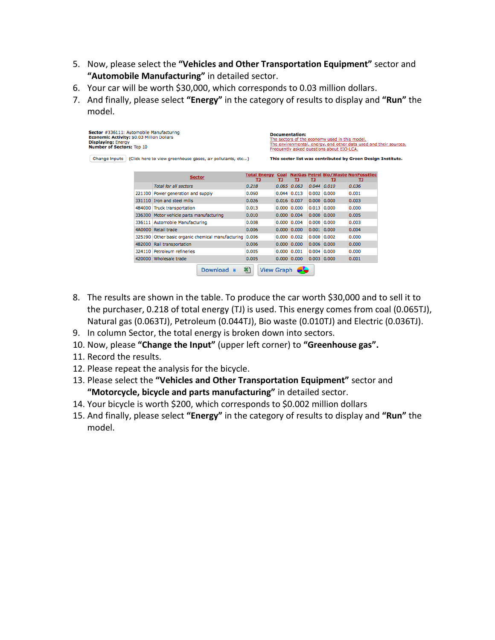- 5. Now, please select the **"Vehicles and Other Transportation Equipment"** sector and **"Automobile Manufacturing"** in detailed sector.
- 6. Your car will be worth \$30,000, which corresponds to 0.03 million dollars.
- 7. And finally, please select **"Energy"** in the category of results to display and **"Run"** the model.

| Sector #336111: Automobile Manufacturing<br>Economic Activity: \$0.03 Million Dollars<br><b>Displaying: Energy</b><br><b>Number of Sectors: Top 10</b><br>Change Inputs   (Click here to view greenhouse gases, air pollutants, etc) |  |                                                         | Documentation:<br>The sectors of the economy used in this model.<br>The environmental, energy, and other data used and their sources,<br>Frequently asked questions about EIO-LCA. |                                                             |                  |                  |               |                                                |  |
|--------------------------------------------------------------------------------------------------------------------------------------------------------------------------------------------------------------------------------------|--|---------------------------------------------------------|------------------------------------------------------------------------------------------------------------------------------------------------------------------------------------|-------------------------------------------------------------|------------------|------------------|---------------|------------------------------------------------|--|
|                                                                                                                                                                                                                                      |  |                                                         |                                                                                                                                                                                    | This sector list was contributed by Green Design Institute. |                  |                  |               |                                                |  |
|                                                                                                                                                                                                                                      |  | <b>Sector</b>                                           | <b>Total Energy</b><br>TJ                                                                                                                                                          | тJ                                                          | TJ               | TJ               | TJ.           | Coal NatGas Petrol Bio/Waste NonFossElec<br>TJ |  |
|                                                                                                                                                                                                                                      |  | <b>Total for all sectors</b>                            | 0.218                                                                                                                                                                              |                                                             | $0.065$ $0.063$  | $0.044$ $0.010$  |               | 0.036                                          |  |
|                                                                                                                                                                                                                                      |  | 221100 Power generation and supply                      | 0.060                                                                                                                                                                              |                                                             | $0.044$ 0.013    |                  | $0.002$ 0.000 | 0.001                                          |  |
|                                                                                                                                                                                                                                      |  | 331110 Tron and steel mills                             | 0.026                                                                                                                                                                              |                                                             | $0.016$ 0.007    | $0.000 \, 0.000$ |               | 0.003                                          |  |
|                                                                                                                                                                                                                                      |  | 484000 Truck transportation                             | 0.013                                                                                                                                                                              |                                                             | 0.000   0.000    |                  | $0.013$ 0.000 | 0.000                                          |  |
| 336111 Automobile Manufacturing                                                                                                                                                                                                      |  | 336300 Motor vehicle parts manufacturing                | 0.010                                                                                                                                                                              |                                                             | $0.000$ 0.004    | 0.000 0.000      |               | 0.005                                          |  |
|                                                                                                                                                                                                                                      |  |                                                         | 0.008                                                                                                                                                                              |                                                             | 0.000   0.004    |                  | 0.000   0.000 | 0.003                                          |  |
|                                                                                                                                                                                                                                      |  | 4A0000 Retail trade                                     | 0.006                                                                                                                                                                              |                                                             | $0.000$ 0.000    | $0.001$ 0.000    |               | 0.004                                          |  |
|                                                                                                                                                                                                                                      |  | 325190 Other basic organic chemical manufacturing 0.006 |                                                                                                                                                                                    |                                                             | $0.000 \, 0.002$ | $0.000$ 0.002    |               | 0.000                                          |  |
|                                                                                                                                                                                                                                      |  | 482000 Rail transportation                              | 0.006                                                                                                                                                                              |                                                             | 0.000 0.000      |                  | $0.006$ 0.000 | 0.000                                          |  |
|                                                                                                                                                                                                                                      |  | 324110 Petroleum refineries                             | 0.005                                                                                                                                                                              |                                                             | $0.000$ $0.001$  | $0.004$ 0.000    |               | 0.000                                          |  |
|                                                                                                                                                                                                                                      |  | 420000 Wholesale trade                                  | 0.005                                                                                                                                                                              |                                                             | $0.000$ 0.000    | $0.003$ 0.000    |               | 0.001                                          |  |
|                                                                                                                                                                                                                                      |  | Download A                                              | 科                                                                                                                                                                                  | <b>View Graph</b>                                           |                  |                  |               |                                                |  |

- 8. The results are shown in the table. To produce the car worth \$30,000 and to sell it to the purchaser, 0.218 of total energy (TJ) is used. This energy comes from coal (0.065TJ), Natural gas (0.063TJ), Petroleum (0.044TJ), Bio waste (0.010TJ) and Electric (0.036TJ).
- 9. In column Sector, the total energy is broken down into sectors.
- 10. Now, please **"Change the Input"** (upper left corner) to **"Greenhouse gas".**
- 11. Record the results.
- 12. Please repeat the analysis for the bicycle.
- 13. Please select the **"Vehicles and Other Transportation Equipment"** sector and **"Motorcycle, bicycle and parts manufacturing"** in detailed sector.
- 14. Your bicycle is worth \$200, which corresponds to \$0.002 million dollars
- 15. And finally, please select **"Energy"** in the category of results to display and **"Run"** the model.